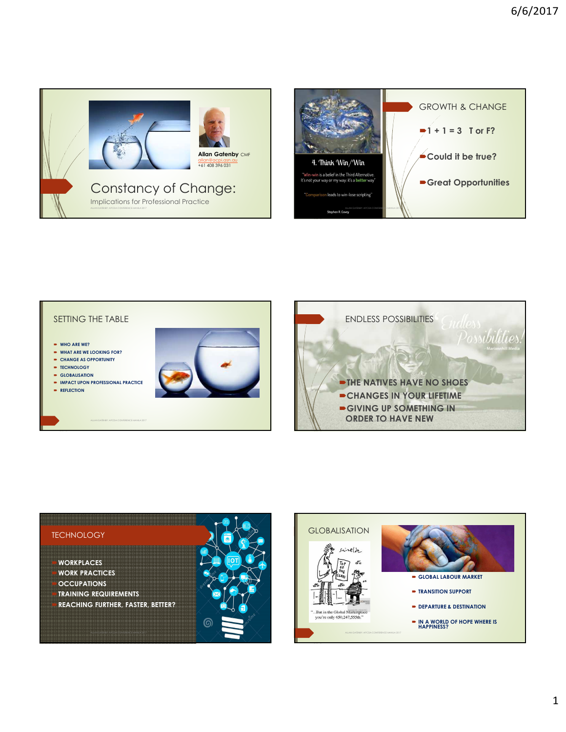